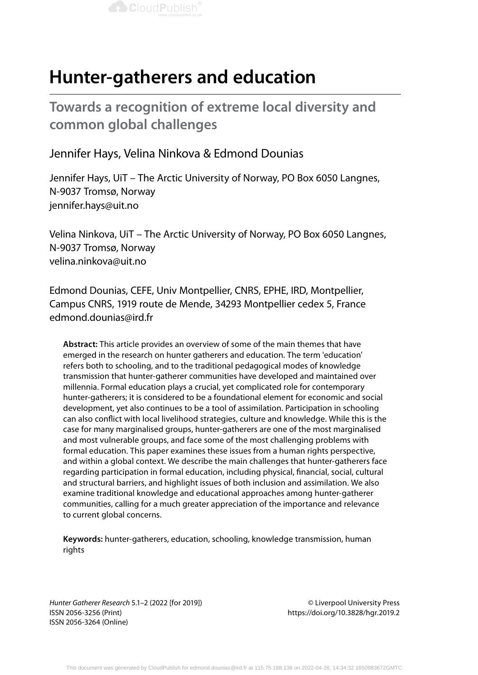

**Towards a recognition of extreme local diversity and common global challenges**

## Jennifer Hays, Velina Ninkova & Edmond Dounias

Jennifer Hays, UiT – The Arctic University of Norway, PO Box 6050 Langnes, N-9037 Tromsø, Norway jennifer.hays@uit.no

Velina Ninkova, UiT – The Arctic University of Norway, PO Box 6050 Langnes, N-9037 Tromsø, Norway velina.ninkova@uit.no

Edmond Dounias, CEFE, Univ Montpellier, CNRS, EPHE, IRD, Montpellier, Campus CNRS, 1919 route de Mende, 34293 Montpellier cedex 5, France edmond.dounias@ird.fr

**Abstract:** This article provides an overview of some of the main themes that have emerged in the research on hunter gatherers and education. The term 'education' refers both to schooling, and to the traditional pedagogical modes of knowledge transmission that hunter-gatherer communities have developed and maintained over millennia. Formal education plays a crucial, yet complicated role for contemporary hunter-gatherers; it is considered to be a foundational element for economic and social development, yet also continues to be a tool of assimilation. Participation in schooling can also conflict with local livelihood strategies, culture and knowledge. While this is the case for many marginalised groups, hunter-gatherers are one of the most marginalised and most vulnerable groups, and face some of the most challenging problems with formal education. This paper examines these issues from a human rights perspective, and within a global context. We describe the main challenges that hunter-gatherers face regarding participation in formal education, including physical, financial, social, cultural and structural barriers, and highlight issues of both inclusion and assimilation. We also examine traditional knowledge and educational approaches among hunter-gatherer communities, calling for a much greater appreciation of the importance and relevance to current global concerns.

**Keywords:** hunter-gatherers, education, schooling, knowledge transmission, human rights

*Hunter Gatherer Research* 5.1–2 (2022 [for 2019]) © Liverpool University Press ISSN 2056-3256 (Print) https://doi.org/10.3828/hgr.2019.2 ISSN 2056-3264 (Online)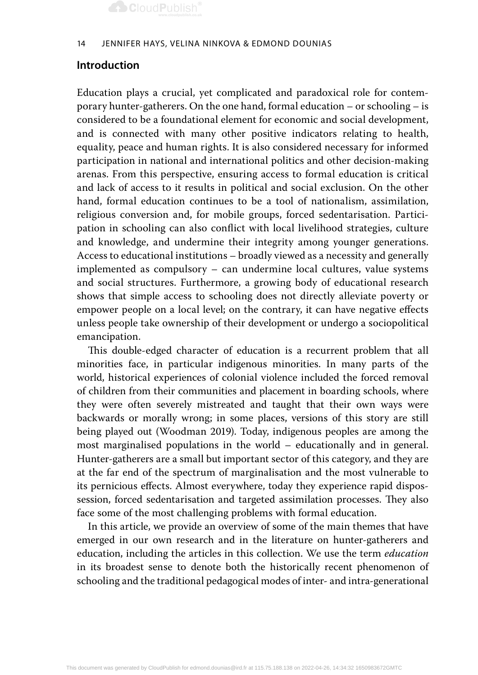

#### 14 Jennifer Hays, Velina Ninkova & Edmond Dounias

### **Introduction**

Education plays a crucial, yet complicated and paradoxical role for contemporary hunter-gatherers. On the one hand, formal education – or schooling – is considered to be a foundational element for economic and social development, and is connected with many other positive indicators relating to health, equality, peace and human rights. It is also considered necessary for informed participation in national and international politics and other decision-making arenas. From this perspective, ensuring access to formal education is critical and lack of access to it results in political and social exclusion. On the other hand, formal education continues to be a tool of nationalism, assimilation, religious conversion and, for mobile groups, forced sedentarisation. Participation in schooling can also conflict with local livelihood strategies, culture and knowledge, and undermine their integrity among younger generations. Access to educational institutions – broadly viewed as a necessity and generally implemented as compulsory – can undermine local cultures, value systems and social structures. Furthermore, a growing body of educational research shows that simple access to schooling does not directly alleviate poverty or empower people on a local level; on the contrary, it can have negative effects unless people take ownership of their development or undergo a sociopolitical emancipation.

This double-edged character of education is a recurrent problem that all minorities face, in particular indigenous minorities. In many parts of the world, historical experiences of colonial violence included the forced removal of children from their communities and placement in boarding schools, where they were often severely mistreated and taught that their own ways were backwards or morally wrong; in some places, versions of this story are still being played out (Woodman 2019). Today, indigenous peoples are among the most marginalised populations in the world – educationally and in general. Hunter-gatherers are a small but important sector of this category, and they are at the far end of the spectrum of marginalisation and the most vulnerable to its pernicious effects. Almost everywhere, today they experience rapid dispossession, forced sedentarisation and targeted assimilation processes. They also face some of the most challenging problems with formal education.

In this article, we provide an overview of some of the main themes that have emerged in our own research and in the literature on hunter-gatherers and education, including the articles in this collection. We use the term *education* in its broadest sense to denote both the historically recent phenomenon of schooling and the traditional pedagogical modes of inter- and intra-generational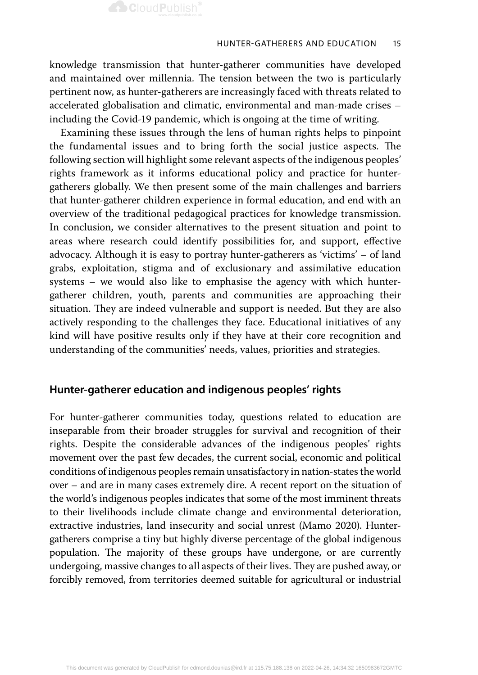knowledge transmission that hunter-gatherer communities have developed and maintained over millennia. The tension between the two is particularly pertinent now, as hunter-gatherers are increasingly faced with threats related to accelerated globalisation and climatic, environmental and man-made crises – including the Covid-19 pandemic, which is ongoing at the time of writing.

Examining these issues through the lens of human rights helps to pinpoint the fundamental issues and to bring forth the social justice aspects. The following section will highlight some relevant aspects of the indigenous peoples' rights framework as it informs educational policy and practice for huntergatherers globally. We then present some of the main challenges and barriers that hunter-gatherer children experience in formal education, and end with an overview of the traditional pedagogical practices for knowledge transmission. In conclusion, we consider alternatives to the present situation and point to areas where research could identify possibilities for, and support, effective advocacy. Although it is easy to portray hunter-gatherers as 'victims' – of land grabs, exploitation, stigma and of exclusionary and assimilative education systems – we would also like to emphasise the agency with which huntergatherer children, youth, parents and communities are approaching their situation. They are indeed vulnerable and support is needed. But they are also actively responding to the challenges they face. Educational initiatives of any kind will have positive results only if they have at their core recognition and understanding of the communities' needs, values, priorities and strategies.

## **Hunter-gatherer education and indigenous peoples' rights**

For hunter-gatherer communities today, questions related to education are inseparable from their broader struggles for survival and recognition of their rights. Despite the considerable advances of the indigenous peoples' rights movement over the past few decades, the current social, economic and political conditions of indigenous peoples remain unsatisfactory in nation-states the world over – and are in many cases extremely dire. A recent report on the situation of the world's indigenous peoples indicates that some of the most imminent threats to their livelihoods include climate change and environmental deterioration, extractive industries, land insecurity and social unrest (Mamo 2020). Huntergatherers comprise a tiny but highly diverse percentage of the global indigenous population. The majority of these groups have undergone, or are currently undergoing, massive changes to all aspects of their lives. They are pushed away, or forcibly removed, from territories deemed suitable for agricultural or industrial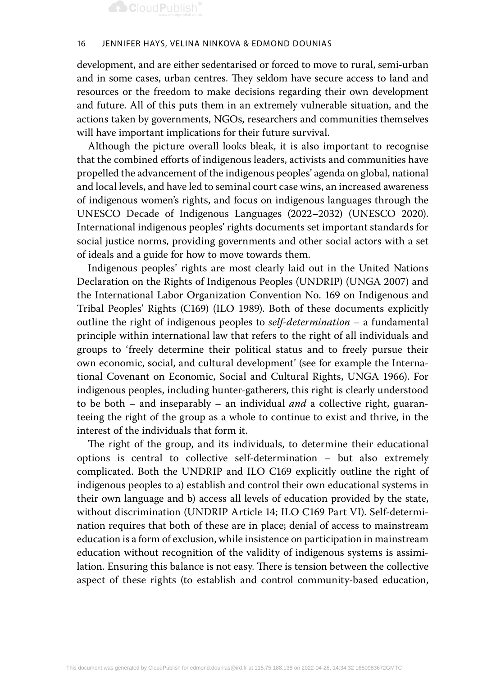#### 16 Jennifer Hays, Velina Ninkova & Edmond Dounias

development, and are either sedentarised or forced to move to rural, semi-urban and in some cases, urban centres. They seldom have secure access to land and resources or the freedom to make decisions regarding their own development and future. All of this puts them in an extremely vulnerable situation, and the actions taken by governments, NGOs, researchers and communities themselves will have important implications for their future survival.

Although the picture overall looks bleak, it is also important to recognise that the combined efforts of indigenous leaders, activists and communities have propelled the advancement of the indigenous peoples' agenda on global, national and local levels, and have led to seminal court case wins, an increased awareness of indigenous women's rights, and focus on indigenous languages through the UNESCO Decade of Indigenous Languages (2022–2032) (UNESCO 2020). International indigenous peoples' rights documents set important standards for social justice norms, providing governments and other social actors with a set of ideals and a guide for how to move towards them.

Indigenous peoples' rights are most clearly laid out in the United Nations Declaration on the Rights of Indigenous Peoples (UNDRIP) (UNGA 2007) and the International Labor Organization Convention No. 169 on Indigenous and Tribal Peoples' Rights (C169) (ILO 1989). Both of these documents explicitly outline the right of indigenous peoples to *self-determination –* a fundamental principle within international law that refers to the right of all individuals and groups to 'freely determine their political status and to freely pursue their own economic, social, and cultural development' (see for example the International Covenant on Economic, Social and Cultural Rights, UNGA 1966). For indigenous peoples, including hunter-gatherers, this right is clearly understood to be both *–* and inseparably *–* an individual *and* a collective right, guaranteeing the right of the group as a whole to continue to exist and thrive, in the interest of the individuals that form it.

The right of the group, and its individuals, to determine their educational options is central to collective self-determination – but also extremely complicated. Both the UNDRIP and ILO C169 explicitly outline the right of indigenous peoples to a) establish and control their own educational systems in their own language and b) access all levels of education provided by the state, without discrimination (UNDRIP Article 14; ILO C169 Part VI). Self-determination requires that both of these are in place; denial of access to mainstream education is a form of exclusion, while insistence on participation in mainstream education without recognition of the validity of indigenous systems is assimilation. Ensuring this balance is not easy. There is tension between the collective aspect of these rights (to establish and control community-based education,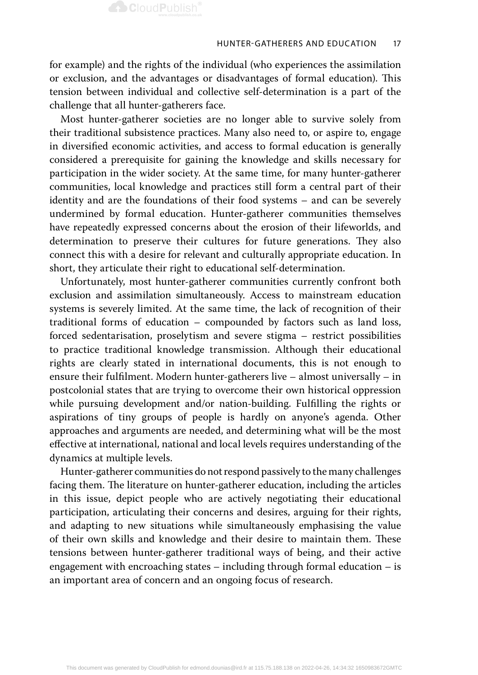for example) and the rights of the individual (who experiences the assimilation or exclusion, and the advantages or disadvantages of formal education). This tension between individual and collective self-determination is a part of the challenge that all hunter-gatherers face.

Most hunter-gatherer societies are no longer able to survive solely from their traditional subsistence practices. Many also need to, or aspire to, engage in diversified economic activities, and access to formal education is generally considered a prerequisite for gaining the knowledge and skills necessary for participation in the wider society. At the same time, for many hunter-gatherer communities, local knowledge and practices still form a central part of their identity and are the foundations of their food systems – and can be severely undermined by formal education. Hunter-gatherer communities themselves have repeatedly expressed concerns about the erosion of their lifeworlds, and determination to preserve their cultures for future generations. They also connect this with a desire for relevant and culturally appropriate education. In short, they articulate their right to educational self-determination.

Unfortunately, most hunter-gatherer communities currently confront both exclusion and assimilation simultaneously. Access to mainstream education systems is severely limited. At the same time, the lack of recognition of their traditional forms of education – compounded by factors such as land loss, forced sedentarisation, proselytism and severe stigma – restrict possibilities to practice traditional knowledge transmission. Although their educational rights are clearly stated in international documents, this is not enough to ensure their fulfilment. Modern hunter-gatherers live – almost universally – in postcolonial states that are trying to overcome their own historical oppression while pursuing development and/or nation-building. Fulfilling the rights or aspirations of tiny groups of people is hardly on anyone's agenda. Other approaches and arguments are needed, and determining what will be the most effective at international, national and local levels requires understanding of the dynamics at multiple levels.

Hunter-gatherer communities do not respond passively to the many challenges facing them. The literature on hunter-gatherer education, including the articles in this issue, depict people who are actively negotiating their educational participation, articulating their concerns and desires, arguing for their rights, and adapting to new situations while simultaneously emphasising the value of their own skills and knowledge and their desire to maintain them. These tensions between hunter-gatherer traditional ways of being, and their active engagement with encroaching states – including through formal education – is an important area of concern and an ongoing focus of research.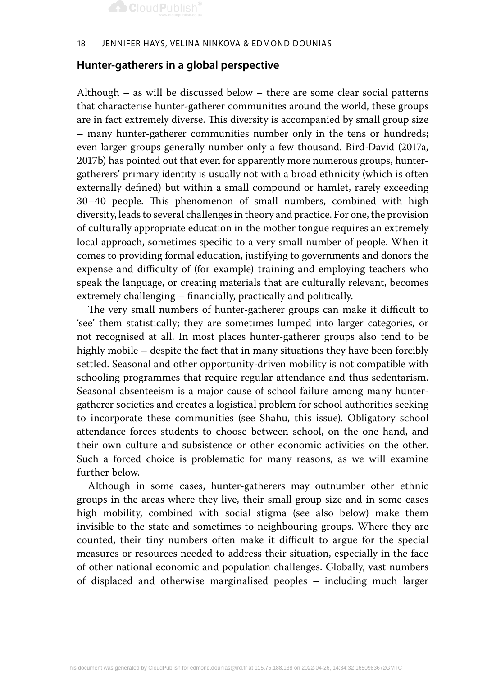#### 18 Jennifer Hays, Velina Ninkova & Edmond Dounias

## **Hunter-gatherers in a global perspective**

Although – as will be discussed below – there are some clear social patterns that characterise hunter-gatherer communities around the world, these groups are in fact extremely diverse. This diversity is accompanied by small group size – many hunter-gatherer communities number only in the tens or hundreds; even larger groups generally number only a few thousand. Bird-David (2017a, 2017b) has pointed out that even for apparently more numerous groups, huntergatherers' primary identity is usually not with a broad ethnicity (which is often externally defined) but within a small compound or hamlet, rarely exceeding 30–40 people. This phenomenon of small numbers, combined with high diversity, leads to several challenges in theory and practice. For one, the provision of culturally appropriate education in the mother tongue requires an extremely local approach, sometimes specific to a very small number of people. When it comes to providing formal education, justifying to governments and donors the expense and difficulty of (for example) training and employing teachers who speak the language, or creating materials that are culturally relevant, becomes extremely challenging – financially, practically and politically.

The very small numbers of hunter-gatherer groups can make it difficult to 'see' them statistically; they are sometimes lumped into larger categories, or not recognised at all. In most places hunter-gatherer groups also tend to be highly mobile – despite the fact that in many situations they have been forcibly settled. Seasonal and other opportunity-driven mobility is not compatible with schooling programmes that require regular attendance and thus sedentarism. Seasonal absenteeism is a major cause of school failure among many huntergatherer societies and creates a logistical problem for school authorities seeking to incorporate these communities (see Shahu, this issue). Obligatory school attendance forces students to choose between school, on the one hand, and their own culture and subsistence or other economic activities on the other. Such a forced choice is problematic for many reasons, as we will examine further below.

Although in some cases, hunter-gatherers may outnumber other ethnic groups in the areas where they live, their small group size and in some cases high mobility, combined with social stigma (see also below) make them invisible to the state and sometimes to neighbouring groups. Where they are counted, their tiny numbers often make it difficult to argue for the special measures or resources needed to address their situation, especially in the face of other national economic and population challenges. Globally, vast numbers of displaced and otherwise marginalised peoples – including much larger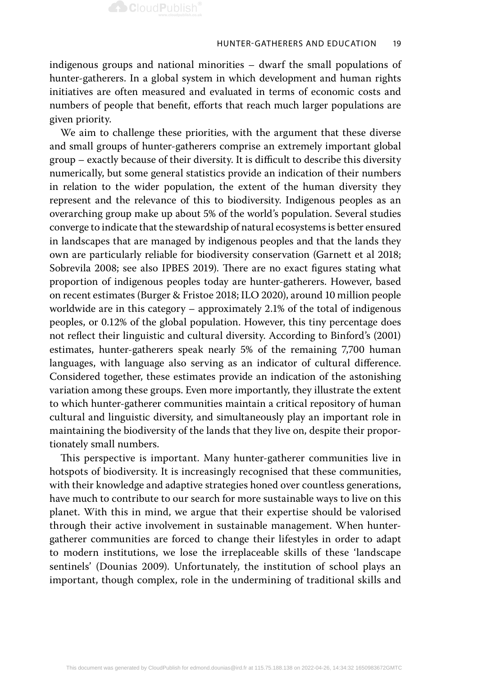

indigenous groups and national minorities – dwarf the small populations of hunter-gatherers. In a global system in which development and human rights initiatives are often measured and evaluated in terms of economic costs and numbers of people that benefit, efforts that reach much larger populations are given priority.

We aim to challenge these priorities, with the argument that these diverse and small groups of hunter-gatherers comprise an extremely important global group – exactly because of their diversity. It is difficult to describe this diversity numerically, but some general statistics provide an indication of their numbers in relation to the wider population, the extent of the human diversity they represent and the relevance of this to biodiversity. Indigenous peoples as an overarching group make up about 5% of the world's population. Several studies converge to indicate that the stewardship of natural ecosystems is better ensured in landscapes that are managed by indigenous peoples and that the lands they own are particularly reliable for biodiversity conservation (Garnett et al 2018; Sobrevila 2008; see also IPBES 2019). There are no exact figures stating what proportion of indigenous peoples today are hunter-gatherers. However, based on recent estimates (Burger & Fristoe 2018; ILO 2020), around 10 million people worldwide are in this category – approximately 2.1% of the total of indigenous peoples, or 0.12% of the global population. However, this tiny percentage does not reflect their linguistic and cultural diversity. According to Binford's (2001) estimates, hunter-gatherers speak nearly 5% of the remaining 7,700 human languages, with language also serving as an indicator of cultural difference. Considered together, these estimates provide an indication of the astonishing variation among these groups. Even more importantly, they illustrate the extent to which hunter-gatherer communities maintain a critical repository of human cultural and linguistic diversity, and simultaneously play an important role in maintaining the biodiversity of the lands that they live on, despite their proportionately small numbers.

This perspective is important. Many hunter-gatherer communities live in hotspots of biodiversity. It is increasingly recognised that these communities, with their knowledge and adaptive strategies honed over countless generations, have much to contribute to our search for more sustainable ways to live on this planet. With this in mind, we argue that their expertise should be valorised through their active involvement in sustainable management. When huntergatherer communities are forced to change their lifestyles in order to adapt to modern institutions, we lose the irreplaceable skills of these 'landscape sentinels' (Dounias 2009). Unfortunately, the institution of school plays an important, though complex, role in the undermining of traditional skills and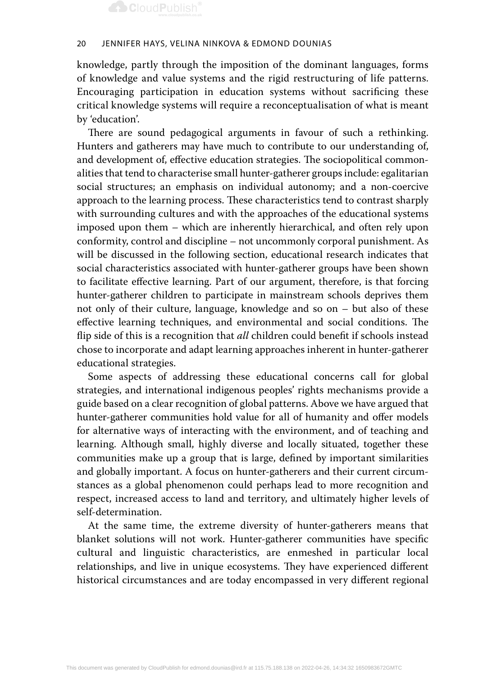#### 20 Jennifer Hays, Velina Ninkova & Edmond Dounias

knowledge, partly through the imposition of the dominant languages, forms of knowledge and value systems and the rigid restructuring of life patterns. Encouraging participation in education systems without sacrificing these critical knowledge systems will require a reconceptualisation of what is meant by 'education'.

There are sound pedagogical arguments in favour of such a rethinking. Hunters and gatherers may have much to contribute to our understanding of, and development of, effective education strategies. The sociopolitical commonalities that tend to characterise small hunter-gatherer groups include: egalitarian social structures; an emphasis on individual autonomy; and a non-coercive approach to the learning process. These characteristics tend to contrast sharply with surrounding cultures and with the approaches of the educational systems imposed upon them – which are inherently hierarchical, and often rely upon conformity, control and discipline – not uncommonly corporal punishment. As will be discussed in the following section, educational research indicates that social characteristics associated with hunter-gatherer groups have been shown to facilitate effective learning. Part of our argument, therefore, is that forcing hunter-gatherer children to participate in mainstream schools deprives them not only of their culture, language, knowledge and so on – but also of these effective learning techniques, and environmental and social conditions. The flip side of this is a recognition that *all* children could benefit if schools instead chose to incorporate and adapt learning approaches inherent in hunter-gatherer educational strategies.

Some aspects of addressing these educational concerns call for global strategies, and international indigenous peoples' rights mechanisms provide a guide based on a clear recognition of global patterns. Above we have argued that hunter-gatherer communities hold value for all of humanity and offer models for alternative ways of interacting with the environment, and of teaching and learning. Although small, highly diverse and locally situated, together these communities make up a group that is large, defined by important similarities and globally important. A focus on hunter-gatherers and their current circumstances as a global phenomenon could perhaps lead to more recognition and respect, increased access to land and territory, and ultimately higher levels of self-determination.

At the same time, the extreme diversity of hunter-gatherers means that blanket solutions will not work. Hunter-gatherer communities have specific cultural and linguistic characteristics, are enmeshed in particular local relationships, and live in unique ecosystems. They have experienced different historical circumstances and are today encompassed in very different regional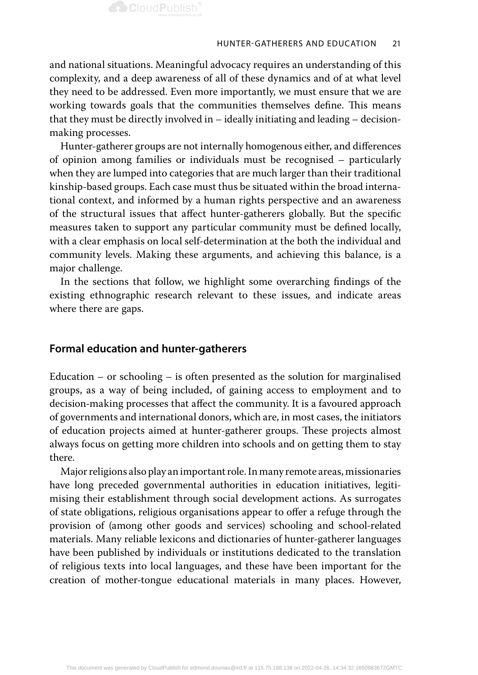

and national situations. Meaningful advocacy requires an understanding of this complexity, and a deep awareness of all of these dynamics and of at what level they need to be addressed. Even more importantly, we must ensure that we are working towards goals that the communities themselves define. This means that they must be directly involved in – ideally initiating and leading – decisionmaking processes.

Hunter-gatherer groups are not internally homogenous either, and differences of opinion among families or individuals must be recognised – particularly when they are lumped into categories that are much larger than their traditional kinship-based groups. Each case must thus be situated within the broad international context, and informed by a human rights perspective and an awareness of the structural issues that affect hunter-gatherers globally. But the specific measures taken to support any particular community must be defined locally, with a clear emphasis on local self-determination at the both the individual and community levels. Making these arguments, and achieving this balance, is a major challenge.

In the sections that follow, we highlight some overarching findings of the existing ethnographic research relevant to these issues, and indicate areas where there are gaps.

### **Formal education and hunter-gatherers**

Education – or schooling – is often presented as the solution for marginalised groups, as a way of being included, of gaining access to employment and to decision-making processes that affect the community. It is a favoured approach of governments and international donors, which are, in most cases, the initiators of education projects aimed at hunter-gatherer groups. These projects almost always focus on getting more children into schools and on getting them to stay there.

Major religions also play an important role. In many remote areas, missionaries have long preceded governmental authorities in education initiatives, legitimising their establishment through social development actions. As surrogates of state obligations, religious organisations appear to offer a refuge through the provision of (among other goods and services) schooling and school-related materials. Many reliable lexicons and dictionaries of hunter-gatherer languages have been published by individuals or institutions dedicated to the translation of religious texts into local languages, and these have been important for the creation of mother-tongue educational materials in many places. However,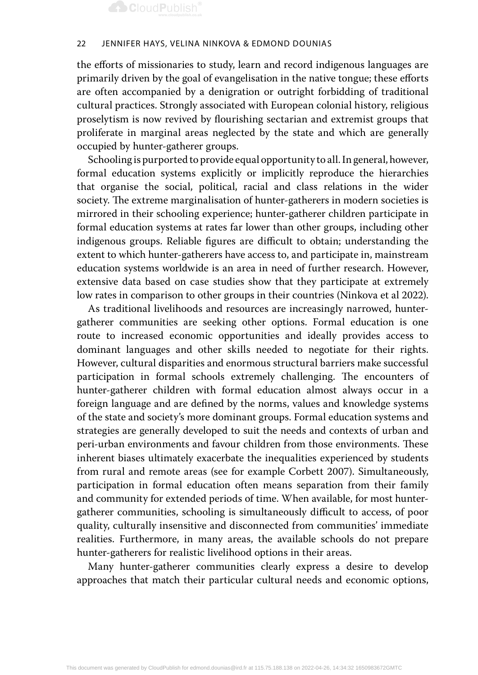#### 22 Jennifer Hays, Velina Ninkova & Edmond Dounias

the efforts of missionaries to study, learn and record indigenous languages are primarily driven by the goal of evangelisation in the native tongue; these efforts are often accompanied by a denigration or outright forbidding of traditional cultural practices. Strongly associated with European colonial history, religious proselytism is now revived by flourishing sectarian and extremist groups that proliferate in marginal areas neglected by the state and which are generally occupied by hunter-gatherer groups.

Schooling is purported to provide equal opportunity to all. In general, however, formal education systems explicitly or implicitly reproduce the hierarchies that organise the social, political, racial and class relations in the wider society. The extreme marginalisation of hunter-gatherers in modern societies is mirrored in their schooling experience; hunter-gatherer children participate in formal education systems at rates far lower than other groups, including other indigenous groups. Reliable figures are difficult to obtain; understanding the extent to which hunter-gatherers have access to, and participate in, mainstream education systems worldwide is an area in need of further research. However, extensive data based on case studies show that they participate at extremely low rates in comparison to other groups in their countries (Ninkova et al 2022).

As traditional livelihoods and resources are increasingly narrowed, huntergatherer communities are seeking other options. Formal education is one route to increased economic opportunities and ideally provides access to dominant languages and other skills needed to negotiate for their rights. However, cultural disparities and enormous structural barriers make successful participation in formal schools extremely challenging. The encounters of hunter-gatherer children with formal education almost always occur in a foreign language and are defined by the norms, values and knowledge systems of the state and society's more dominant groups. Formal education systems and strategies are generally developed to suit the needs and contexts of urban and peri-urban environments and favour children from those environments. These inherent biases ultimately exacerbate the inequalities experienced by students from rural and remote areas (see for example Corbett 2007). Simultaneously, participation in formal education often means separation from their family and community for extended periods of time. When available, for most huntergatherer communities, schooling is simultaneously difficult to access, of poor quality, culturally insensitive and disconnected from communities' immediate realities. Furthermore, in many areas, the available schools do not prepare hunter-gatherers for realistic livelihood options in their areas.

Many hunter-gatherer communities clearly express a desire to develop approaches that match their particular cultural needs and economic options,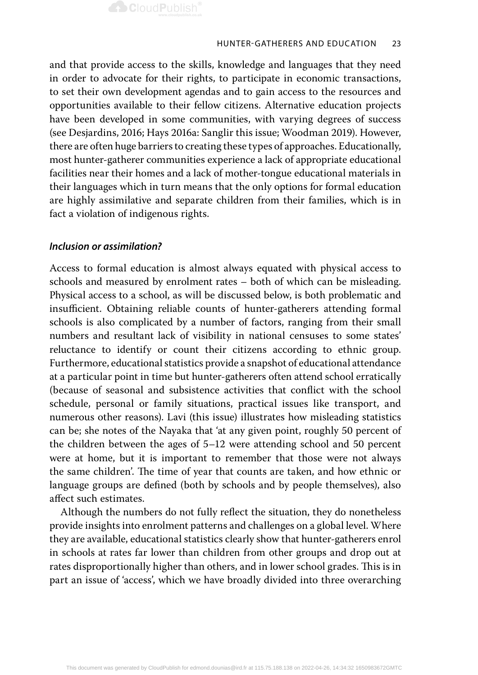

and that provide access to the skills, knowledge and languages that they need in order to advocate for their rights, to participate in economic transactions, to set their own development agendas and to gain access to the resources and opportunities available to their fellow citizens. Alternative education projects have been developed in some communities, with varying degrees of success (see Desjardins, 2016; Hays 2016a: Sanglir this issue; Woodman 2019). However, there are often huge barriers to creating these types of approaches. Educationally, most hunter-gatherer communities experience a lack of appropriate educational facilities near their homes and a lack of mother-tongue educational materials in their languages which in turn means that the only options for formal education are highly assimilative and separate children from their families, which is in fact a violation of indigenous rights.

### *Inclusion or assimilation?*

Access to formal education is almost always equated with physical access to schools and measured by enrolment rates – both of which can be misleading. Physical access to a school, as will be discussed below, is both problematic and insufficient. Obtaining reliable counts of hunter-gatherers attending formal schools is also complicated by a number of factors, ranging from their small numbers and resultant lack of visibility in national censuses to some states' reluctance to identify or count their citizens according to ethnic group. Furthermore, educational statistics provide a snapshot of educational attendance at a particular point in time but hunter-gatherers often attend school erratically (because of seasonal and subsistence activities that conflict with the school schedule, personal or family situations, practical issues like transport, and numerous other reasons). Lavi (this issue) illustrates how misleading statistics can be; she notes of the Nayaka that 'at any given point, roughly 50 percent of the children between the ages of 5–12 were attending school and 50 percent were at home, but it is important to remember that those were not always the same children'. The time of year that counts are taken, and how ethnic or language groups are defined (both by schools and by people themselves), also affect such estimates.

Although the numbers do not fully reflect the situation, they do nonetheless provide insights into enrolment patterns and challenges on a global level. Where they are available, educational statistics clearly show that hunter-gatherers enrol in schools at rates far lower than children from other groups and drop out at rates disproportionally higher than others, and in lower school grades. This is in part an issue of 'access', which we have broadly divided into three overarching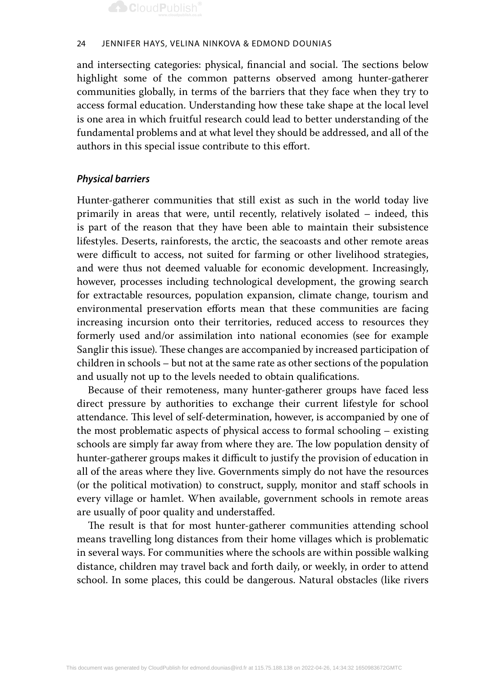

#### 24 Jennifer Hays, Velina Ninkova & Edmond Dounias

and intersecting categories: physical, financial and social. The sections below highlight some of the common patterns observed among hunter-gatherer communities globally, in terms of the barriers that they face when they try to access formal education. Understanding how these take shape at the local level is one area in which fruitful research could lead to better understanding of the fundamental problems and at what level they should be addressed, and all of the authors in this special issue contribute to this effort.

### *Physical barriers*

Hunter-gatherer communities that still exist as such in the world today live primarily in areas that were, until recently, relatively isolated – indeed, this is part of the reason that they have been able to maintain their subsistence lifestyles. Deserts, rainforests, the arctic, the seacoasts and other remote areas were difficult to access, not suited for farming or other livelihood strategies, and were thus not deemed valuable for economic development. Increasingly, however, processes including technological development, the growing search for extractable resources, population expansion, climate change, tourism and environmental preservation efforts mean that these communities are facing increasing incursion onto their territories, reduced access to resources they formerly used and/or assimilation into national economies (see for example Sanglir this issue). These changes are accompanied by increased participation of children in schools – but not at the same rate as other sections of the population and usually not up to the levels needed to obtain qualifications.

Because of their remoteness, many hunter-gatherer groups have faced less direct pressure by authorities to exchange their current lifestyle for school attendance. This level of self-determination, however, is accompanied by one of the most problematic aspects of physical access to formal schooling – existing schools are simply far away from where they are. The low population density of hunter-gatherer groups makes it difficult to justify the provision of education in all of the areas where they live. Governments simply do not have the resources (or the political motivation) to construct, supply, monitor and staff schools in every village or hamlet. When available, government schools in remote areas are usually of poor quality and understaffed.

The result is that for most hunter-gatherer communities attending school means travelling long distances from their home villages which is problematic in several ways. For communities where the schools are within possible walking distance, children may travel back and forth daily, or weekly, in order to attend school. In some places, this could be dangerous. Natural obstacles (like rivers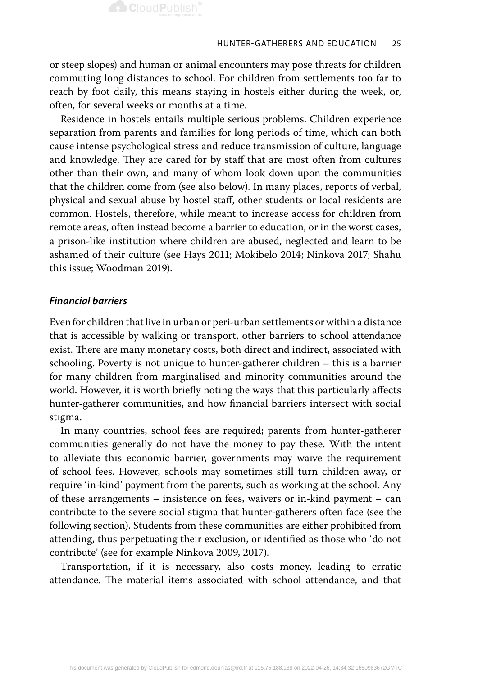or steep slopes) and human or animal encounters may pose threats for children commuting long distances to school. For children from settlements too far to reach by foot daily, this means staying in hostels either during the week, or, often, for several weeks or months at a time.

Residence in hostels entails multiple serious problems. Children experience separation from parents and families for long periods of time, which can both cause intense psychological stress and reduce transmission of culture, language and knowledge. They are cared for by staff that are most often from cultures other than their own, and many of whom look down upon the communities that the children come from (see also below). In many places, reports of verbal, physical and sexual abuse by hostel staff, other students or local residents are common. Hostels, therefore, while meant to increase access for children from remote areas, often instead become a barrier to education, or in the worst cases, a prison-like institution where children are abused, neglected and learn to be ashamed of their culture (see Hays 2011; Mokibelo 2014; Ninkova 2017; Shahu this issue; Woodman 2019).

### *Financial barriers*

Even for children that live in urban or peri-urban settlements or within a distance that is accessible by walking or transport, other barriers to school attendance exist. There are many monetary costs, both direct and indirect, associated with schooling. Poverty is not unique to hunter-gatherer children – this is a barrier for many children from marginalised and minority communities around the world. However, it is worth briefly noting the ways that this particularly affects hunter-gatherer communities, and how financial barriers intersect with social stigma.

In many countries, school fees are required; parents from hunter-gatherer communities generally do not have the money to pay these. With the intent to alleviate this economic barrier, governments may waive the requirement of school fees. However, schools may sometimes still turn children away, or require 'in-kind' payment from the parents, such as working at the school. Any of these arrangements – insistence on fees, waivers or in-kind payment – can contribute to the severe social stigma that hunter-gatherers often face (see the following section). Students from these communities are either prohibited from attending, thus perpetuating their exclusion, or identified as those who 'do not contribute' (see for example Ninkova 2009, 2017).

Transportation, if it is necessary, also costs money, leading to erratic attendance. The material items associated with school attendance, and that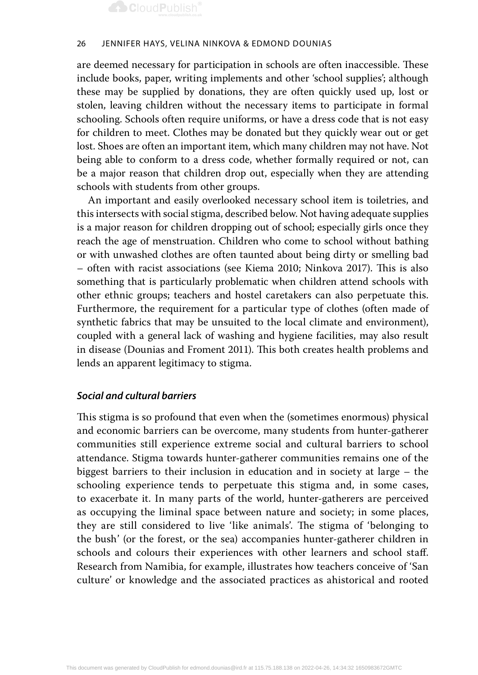

#### 26 Jennifer Hays, Velina Ninkova & Edmond Dounias

are deemed necessary for participation in schools are often inaccessible. These include books, paper, writing implements and other 'school supplies'; although these may be supplied by donations, they are often quickly used up, lost or stolen, leaving children without the necessary items to participate in formal schooling. Schools often require uniforms, or have a dress code that is not easy for children to meet. Clothes may be donated but they quickly wear out or get lost. Shoes are often an important item, which many children may not have. Not being able to conform to a dress code, whether formally required or not, can be a major reason that children drop out, especially when they are attending schools with students from other groups.

An important and easily overlooked necessary school item is toiletries, and this intersects with social stigma, described below. Not having adequate supplies is a major reason for children dropping out of school; especially girls once they reach the age of menstruation. Children who come to school without bathing or with unwashed clothes are often taunted about being dirty or smelling bad – often with racist associations (see Kiema 2010; Ninkova 2017). This is also something that is particularly problematic when children attend schools with other ethnic groups; teachers and hostel caretakers can also perpetuate this. Furthermore, the requirement for a particular type of clothes (often made of synthetic fabrics that may be unsuited to the local climate and environment), coupled with a general lack of washing and hygiene facilities, may also result in disease (Dounias and Froment 2011). This both creates health problems and lends an apparent legitimacy to stigma.

### *Social and cultural barriers*

This stigma is so profound that even when the (sometimes enormous) physical and economic barriers can be overcome, many students from hunter-gatherer communities still experience extreme social and cultural barriers to school attendance. Stigma towards hunter-gatherer communities remains one of the biggest barriers to their inclusion in education and in society at large – the schooling experience tends to perpetuate this stigma and, in some cases, to exacerbate it. In many parts of the world, hunter-gatherers are perceived as occupying the liminal space between nature and society; in some places, they are still considered to live 'like animals'. The stigma of 'belonging to the bush' (or the forest, or the sea) accompanies hunter-gatherer children in schools and colours their experiences with other learners and school staff. Research from Namibia, for example, illustrates how teachers conceive of 'San culture' or knowledge and the associated practices as ahistorical and rooted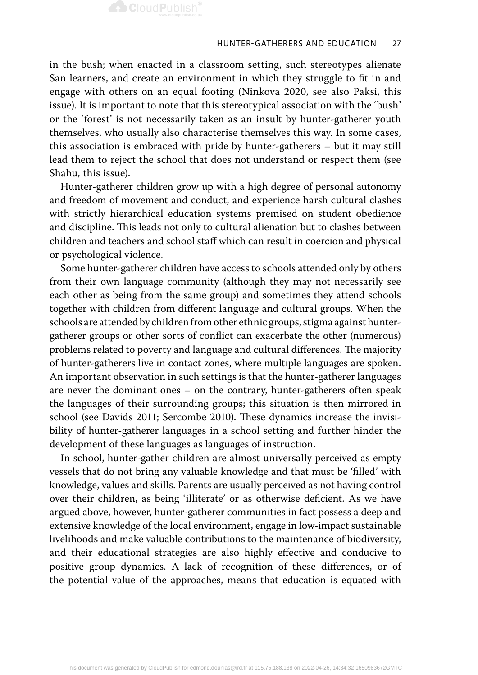

in the bush; when enacted in a classroom setting, such stereotypes alienate San learners, and create an environment in which they struggle to fit in and engage with others on an equal footing (Ninkova 2020, see also Paksi, this issue). It is important to note that this stereotypical association with the 'bush' or the 'forest' is not necessarily taken as an insult by hunter-gatherer youth themselves, who usually also characterise themselves this way. In some cases, this association is embraced with pride by hunter-gatherers – but it may still lead them to reject the school that does not understand or respect them (see Shahu, this issue).

Hunter-gatherer children grow up with a high degree of personal autonomy and freedom of movement and conduct, and experience harsh cultural clashes with strictly hierarchical education systems premised on student obedience and discipline. This leads not only to cultural alienation but to clashes between children and teachers and school staff which can result in coercion and physical or psychological violence.

Some hunter-gatherer children have access to schools attended only by others from their own language community (although they may not necessarily see each other as being from the same group) and sometimes they attend schools together with children from different language and cultural groups. When the schools are attended by children from other ethnic groups, stigma against huntergatherer groups or other sorts of conflict can exacerbate the other (numerous) problems related to poverty and language and cultural differences. The majority of hunter-gatherers live in contact zones, where multiple languages are spoken. An important observation in such settings is that the hunter-gatherer languages are never the dominant ones – on the contrary, hunter-gatherers often speak the languages of their surrounding groups; this situation is then mirrored in school (see Davids 2011; Sercombe 2010). These dynamics increase the invisibility of hunter-gatherer languages in a school setting and further hinder the development of these languages as languages of instruction.

In school, hunter-gather children are almost universally perceived as empty vessels that do not bring any valuable knowledge and that must be 'filled' with knowledge, values and skills. Parents are usually perceived as not having control over their children, as being 'illiterate' or as otherwise deficient. As we have argued above, however, hunter-gatherer communities in fact possess a deep and extensive knowledge of the local environment, engage in low-impact sustainable livelihoods and make valuable contributions to the maintenance of biodiversity, and their educational strategies are also highly effective and conducive to positive group dynamics. A lack of recognition of these differences, or of the potential value of the approaches, means that education is equated with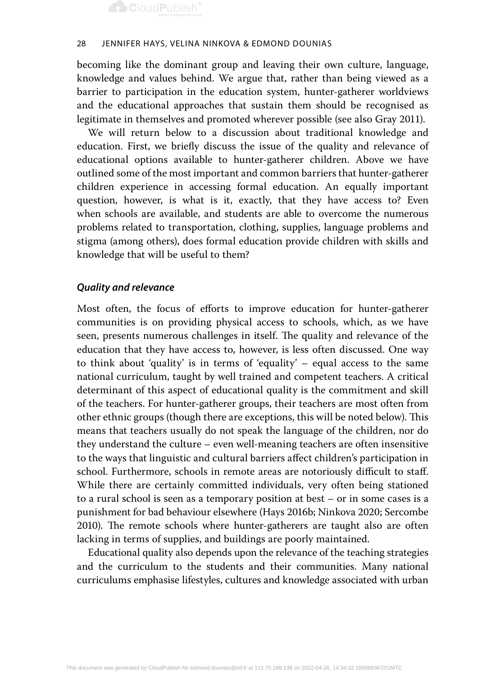#### 28 Jennifer Hays, Velina Ninkova & Edmond Dounias

becoming like the dominant group and leaving their own culture, language, knowledge and values behind. We argue that, rather than being viewed as a barrier to participation in the education system, hunter-gatherer worldviews and the educational approaches that sustain them should be recognised as legitimate in themselves and promoted wherever possible (see also Gray 2011).

We will return below to a discussion about traditional knowledge and education. First, we briefly discuss the issue of the quality and relevance of educational options available to hunter-gatherer children. Above we have outlined some of the most important and common barriers that hunter-gatherer children experience in accessing formal education. An equally important question, however, is what is it, exactly, that they have access to? Even when schools are available, and students are able to overcome the numerous problems related to transportation, clothing, supplies, language problems and stigma (among others), does formal education provide children with skills and knowledge that will be useful to them?

### *Quality and relevance*

Most often, the focus of efforts to improve education for hunter-gatherer communities is on providing physical access to schools, which, as we have seen, presents numerous challenges in itself. The quality and relevance of the education that they have access to, however, is less often discussed. One way to think about 'quality' is in terms of 'equality' – equal access to the same national curriculum, taught by well trained and competent teachers. A critical determinant of this aspect of educational quality is the commitment and skill of the teachers. For hunter-gatherer groups, their teachers are most often from other ethnic groups (though there are exceptions, this will be noted below). This means that teachers usually do not speak the language of the children, nor do they understand the culture – even well-meaning teachers are often insensitive to the ways that linguistic and cultural barriers affect children's participation in school. Furthermore, schools in remote areas are notoriously difficult to staff. While there are certainly committed individuals, very often being stationed to a rural school is seen as a temporary position at best – or in some cases is a punishment for bad behaviour elsewhere (Hays 2016b; Ninkova 2020; Sercombe 2010). The remote schools where hunter-gatherers are taught also are often lacking in terms of supplies, and buildings are poorly maintained.

Educational quality also depends upon the relevance of the teaching strategies and the curriculum to the students and their communities. Many national curriculums emphasise lifestyles, cultures and knowledge associated with urban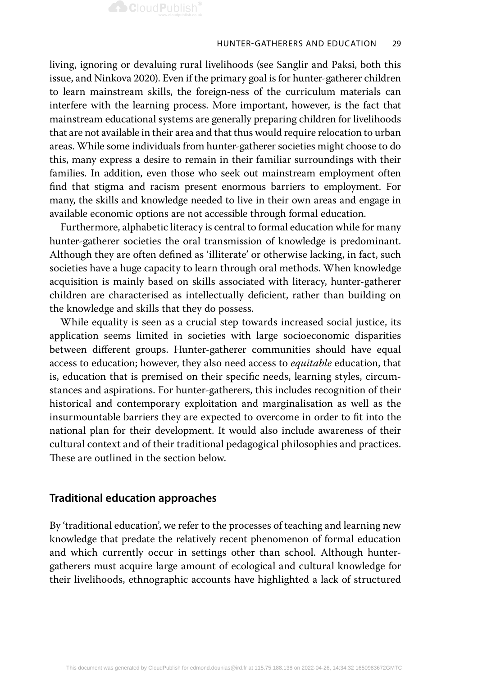living, ignoring or devaluing rural livelihoods (see Sanglir and Paksi, both this issue, and Ninkova 2020). Even if the primary goal is for hunter-gatherer children to learn mainstream skills, the foreign-ness of the curriculum materials can interfere with the learning process. More important, however, is the fact that mainstream educational systems are generally preparing children for livelihoods that are not available in their area and that thus would require relocation to urban areas. While some individuals from hunter-gatherer societies might choose to do this, many express a desire to remain in their familiar surroundings with their families. In addition, even those who seek out mainstream employment often find that stigma and racism present enormous barriers to employment. For many, the skills and knowledge needed to live in their own areas and engage in available economic options are not accessible through formal education.

Furthermore, alphabetic literacy is central to formal education while for many hunter-gatherer societies the oral transmission of knowledge is predominant. Although they are often defined as 'illiterate' or otherwise lacking, in fact, such societies have a huge capacity to learn through oral methods. When knowledge acquisition is mainly based on skills associated with literacy, hunter-gatherer children are characterised as intellectually deficient, rather than building on the knowledge and skills that they do possess.

While equality is seen as a crucial step towards increased social justice, its application seems limited in societies with large socioeconomic disparities between different groups. Hunter-gatherer communities should have equal access to education; however, they also need access to *equitable* education, that is, education that is premised on their specific needs, learning styles, circumstances and aspirations. For hunter-gatherers, this includes recognition of their historical and contemporary exploitation and marginalisation as well as the insurmountable barriers they are expected to overcome in order to fit into the national plan for their development. It would also include awareness of their cultural context and of their traditional pedagogical philosophies and practices. These are outlined in the section below.

### **Traditional education approaches**

By 'traditional education', we refer to the processes of teaching and learning new knowledge that predate the relatively recent phenomenon of formal education and which currently occur in settings other than school. Although huntergatherers must acquire large amount of ecological and cultural knowledge for their livelihoods, ethnographic accounts have highlighted a lack of structured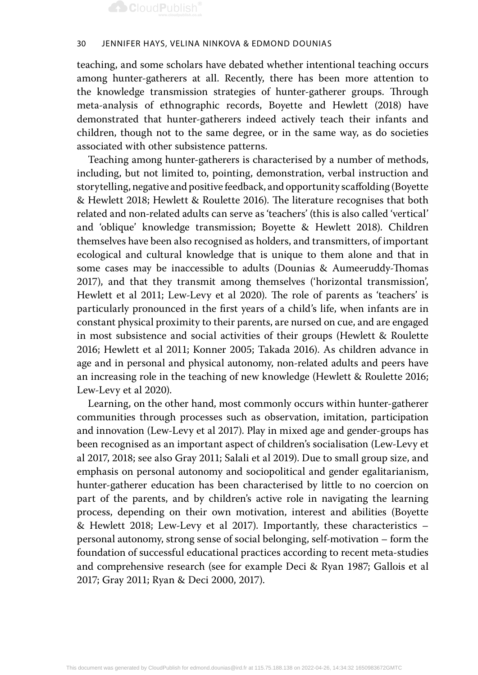#### 30 Jennifer Hays, Velina Ninkova & Edmond Dounias

teaching, and some scholars have debated whether intentional teaching occurs among hunter-gatherers at all. Recently, there has been more attention to the knowledge transmission strategies of hunter-gatherer groups. Through meta-analysis of ethnographic records, Boyette and Hewlett (2018) have demonstrated that hunter-gatherers indeed actively teach their infants and children, though not to the same degree, or in the same way, as do societies associated with other subsistence patterns.

Teaching among hunter-gatherers is characterised by a number of methods, including, but not limited to, pointing, demonstration, verbal instruction and storytelling, negative and positive feedback, and opportunity scaffolding (Boyette & Hewlett 2018; Hewlett & Roulette 2016). The literature recognises that both related and non-related adults can serve as 'teachers' (this is also called 'vertical' and 'oblique' knowledge transmission; Boyette & Hewlett 2018). Children themselves have been also recognised as holders, and transmitters, of important ecological and cultural knowledge that is unique to them alone and that in some cases may be inaccessible to adults (Dounias & Aumeeruddy-Thomas 2017), and that they transmit among themselves ('horizontal transmission', Hewlett et al 2011; Lew-Levy et al 2020). The role of parents as 'teachers' is particularly pronounced in the first years of a child's life, when infants are in constant physical proximity to their parents, are nursed on cue, and are engaged in most subsistence and social activities of their groups (Hewlett & Roulette 2016; Hewlett et al 2011; Konner 2005; Takada 2016). As children advance in age and in personal and physical autonomy, non-related adults and peers have an increasing role in the teaching of new knowledge (Hewlett & Roulette 2016; Lew-Levy et al 2020).

Learning, on the other hand, most commonly occurs within hunter-gatherer communities through processes such as observation, imitation, participation and innovation (Lew-Levy et al 2017). Play in mixed age and gender-groups has been recognised as an important aspect of children's socialisation (Lew-Levy et al 2017, 2018; see also Gray 2011; Salali et al 2019). Due to small group size, and emphasis on personal autonomy and sociopolitical and gender egalitarianism, hunter-gatherer education has been characterised by little to no coercion on part of the parents, and by children's active role in navigating the learning process, depending on their own motivation, interest and abilities (Boyette & Hewlett 2018; Lew-Levy et al 2017). Importantly, these characteristics – personal autonomy, strong sense of social belonging, self-motivation – form the foundation of successful educational practices according to recent meta-studies and comprehensive research (see for example Deci & Ryan 1987; Gallois et al 2017; Gray 2011; Ryan & Deci 2000, 2017).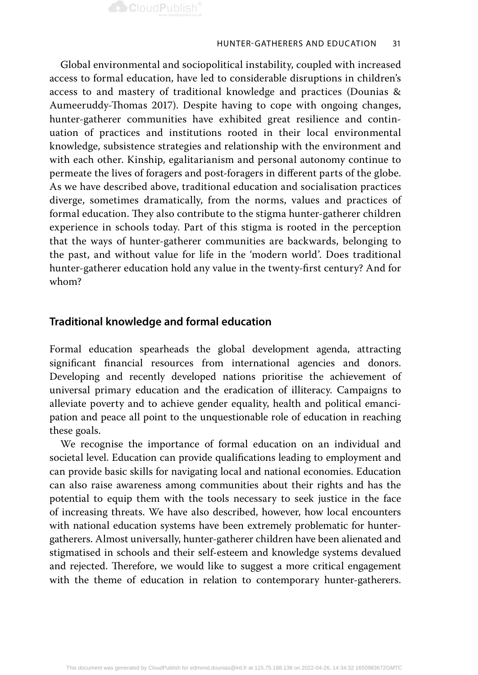

Global environmental and sociopolitical instability, coupled with increased access to formal education, have led to considerable disruptions in children's access to and mastery of traditional knowledge and practices (Dounias & Aumeeruddy-Thomas 2017). Despite having to cope with ongoing changes, hunter-gatherer communities have exhibited great resilience and continuation of practices and institutions rooted in their local environmental knowledge, subsistence strategies and relationship with the environment and with each other. Kinship, egalitarianism and personal autonomy continue to permeate the lives of foragers and post-foragers in different parts of the globe. As we have described above, traditional education and socialisation practices diverge, sometimes dramatically, from the norms, values and practices of formal education. They also contribute to the stigma hunter-gatherer children experience in schools today. Part of this stigma is rooted in the perception that the ways of hunter-gatherer communities are backwards, belonging to the past, and without value for life in the 'modern world'. Does traditional hunter-gatherer education hold any value in the twenty-first century? And for whom?

## **Traditional knowledge and formal education**

Formal education spearheads the global development agenda, attracting significant financial resources from international agencies and donors. Developing and recently developed nations prioritise the achievement of universal primary education and the eradication of illiteracy. Campaigns to alleviate poverty and to achieve gender equality, health and political emancipation and peace all point to the unquestionable role of education in reaching these goals.

We recognise the importance of formal education on an individual and societal level. Education can provide qualifications leading to employment and can provide basic skills for navigating local and national economies. Education can also raise awareness among communities about their rights and has the potential to equip them with the tools necessary to seek justice in the face of increasing threats. We have also described, however, how local encounters with national education systems have been extremely problematic for huntergatherers. Almost universally, hunter-gatherer children have been alienated and stigmatised in schools and their self-esteem and knowledge systems devalued and rejected. Therefore, we would like to suggest a more critical engagement with the theme of education in relation to contemporary hunter-gatherers.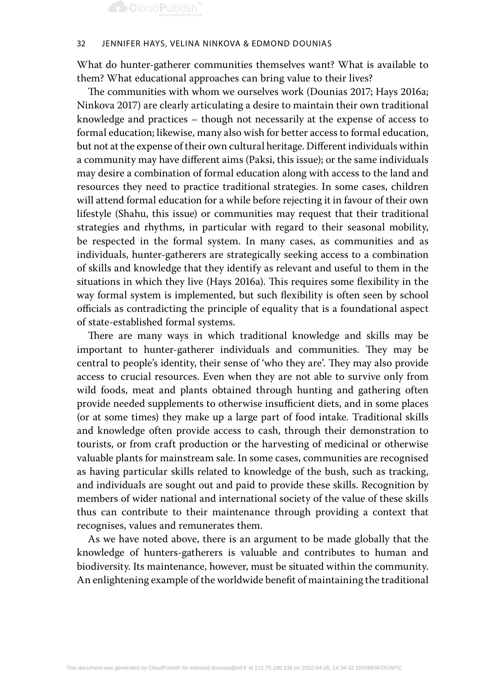#### 32 Jennifer Hays, Velina Ninkova & Edmond Dounias

What do hunter-gatherer communities themselves want? What is available to them? What educational approaches can bring value to their lives?

The communities with whom we ourselves work (Dounias 2017; Hays 2016a; Ninkova 2017) are clearly articulating a desire to maintain their own traditional knowledge and practices – though not necessarily at the expense of access to formal education; likewise, many also wish for better access to formal education, but not at the expense of their own cultural heritage. Different individuals within a community may have different aims (Paksi, this issue); or the same individuals may desire a combination of formal education along with access to the land and resources they need to practice traditional strategies. In some cases, children will attend formal education for a while before rejecting it in favour of their own lifestyle (Shahu, this issue) or communities may request that their traditional strategies and rhythms, in particular with regard to their seasonal mobility, be respected in the formal system. In many cases, as communities and as individuals, hunter-gatherers are strategically seeking access to a combination of skills and knowledge that they identify as relevant and useful to them in the situations in which they live (Hays 2016a). This requires some flexibility in the way formal system is implemented, but such flexibility is often seen by school officials as contradicting the principle of equality that is a foundational aspect of state-established formal systems.

There are many ways in which traditional knowledge and skills may be important to hunter-gatherer individuals and communities. They may be central to people's identity, their sense of 'who they are'. They may also provide access to crucial resources. Even when they are not able to survive only from wild foods, meat and plants obtained through hunting and gathering often provide needed supplements to otherwise insufficient diets, and in some places (or at some times) they make up a large part of food intake. Traditional skills and knowledge often provide access to cash, through their demonstration to tourists, or from craft production or the harvesting of medicinal or otherwise valuable plants for mainstream sale. In some cases, communities are recognised as having particular skills related to knowledge of the bush, such as tracking, and individuals are sought out and paid to provide these skills. Recognition by members of wider national and international society of the value of these skills thus can contribute to their maintenance through providing a context that recognises, values and remunerates them.

As we have noted above, there is an argument to be made globally that the knowledge of hunters-gatherers is valuable and contributes to human and biodiversity. Its maintenance, however, must be situated within the community. An enlightening example of the worldwide benefit of maintaining the traditional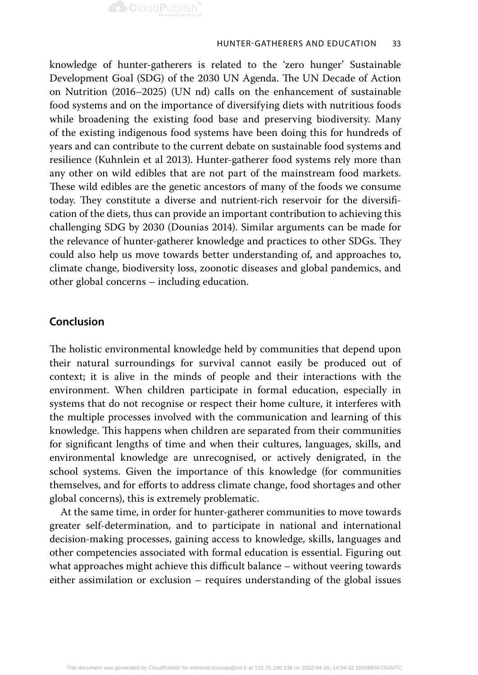

knowledge of hunter-gatherers is related to the 'zero hunger' Sustainable Development Goal (SDG) of the 2030 UN Agenda. The UN Decade of Action on Nutrition (2016–2025) (UN nd) calls on the enhancement of sustainable food systems and on the importance of diversifying diets with nutritious foods while broadening the existing food base and preserving biodiversity. Many of the existing indigenous food systems have been doing this for hundreds of years and can contribute to the current debate on sustainable food systems and resilience (Kuhnlein et al 2013). Hunter-gatherer food systems rely more than any other on wild edibles that are not part of the mainstream food markets. These wild edibles are the genetic ancestors of many of the foods we consume today. They constitute a diverse and nutrient-rich reservoir for the diversification of the diets, thus can provide an important contribution to achieving this challenging SDG by 2030 (Dounias 2014). Similar arguments can be made for the relevance of hunter-gatherer knowledge and practices to other SDGs. They could also help us move towards better understanding of, and approaches to, climate change, biodiversity loss, zoonotic diseases and global pandemics, and other global concerns – including education.

## **Conclusion**

The holistic environmental knowledge held by communities that depend upon their natural surroundings for survival cannot easily be produced out of context; it is alive in the minds of people and their interactions with the environment. When children participate in formal education, especially in systems that do not recognise or respect their home culture, it interferes with the multiple processes involved with the communication and learning of this knowledge. This happens when children are separated from their communities for significant lengths of time and when their cultures, languages, skills, and environmental knowledge are unrecognised, or actively denigrated, in the school systems. Given the importance of this knowledge (for communities themselves, and for efforts to address climate change, food shortages and other global concerns), this is extremely problematic.

At the same time, in order for hunter-gatherer communities to move towards greater self-determination, and to participate in national and international decision-making processes, gaining access to knowledge, skills, languages and other competencies associated with formal education is essential. Figuring out what approaches might achieve this difficult balance – without veering towards either assimilation or exclusion – requires understanding of the global issues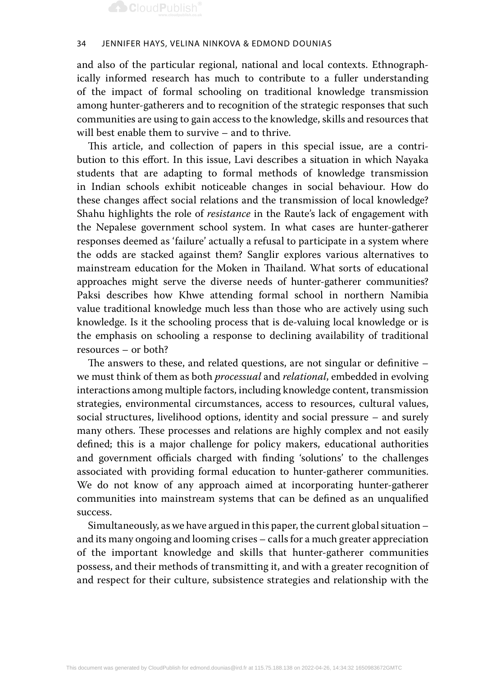#### 34 Jennifer Hays, Velina Ninkova & Edmond Dounias

and also of the particular regional, national and local contexts. Ethnographically informed research has much to contribute to a fuller understanding of the impact of formal schooling on traditional knowledge transmission among hunter-gatherers and to recognition of the strategic responses that such communities are using to gain access to the knowledge, skills and resources that will best enable them to survive – and to thrive.

This article, and collection of papers in this special issue, are a contribution to this effort. In this issue, Lavi describes a situation in which Nayaka students that are adapting to formal methods of knowledge transmission in Indian schools exhibit noticeable changes in social behaviour. How do these changes affect social relations and the transmission of local knowledge? Shahu highlights the role of *resistance* in the Raute's lack of engagement with the Nepalese government school system. In what cases are hunter-gatherer responses deemed as 'failure' actually a refusal to participate in a system where the odds are stacked against them? Sanglir explores various alternatives to mainstream education for the Moken in Thailand. What sorts of educational approaches might serve the diverse needs of hunter-gatherer communities? Paksi describes how Khwe attending formal school in northern Namibia value traditional knowledge much less than those who are actively using such knowledge. Is it the schooling process that is de-valuing local knowledge or is the emphasis on schooling a response to declining availability of traditional resources – or both?

The answers to these, and related questions, are not singular or definitive – we must think of them as both *processual* and *relational*, embedded in evolving interactions among multiple factors, including knowledge content, transmission strategies, environmental circumstances, access to resources, cultural values, social structures, livelihood options, identity and social pressure – and surely many others. These processes and relations are highly complex and not easily defined; this is a major challenge for policy makers, educational authorities and government officials charged with finding 'solutions' to the challenges associated with providing formal education to hunter-gatherer communities. We do not know of any approach aimed at incorporating hunter-gatherer communities into mainstream systems that can be defined as an unqualified success.

Simultaneously, as we have argued in this paper, the current global situation – and its many ongoing and looming crises – calls for a much greater appreciation of the important knowledge and skills that hunter-gatherer communities possess, and their methods of transmitting it, and with a greater recognition of and respect for their culture, subsistence strategies and relationship with the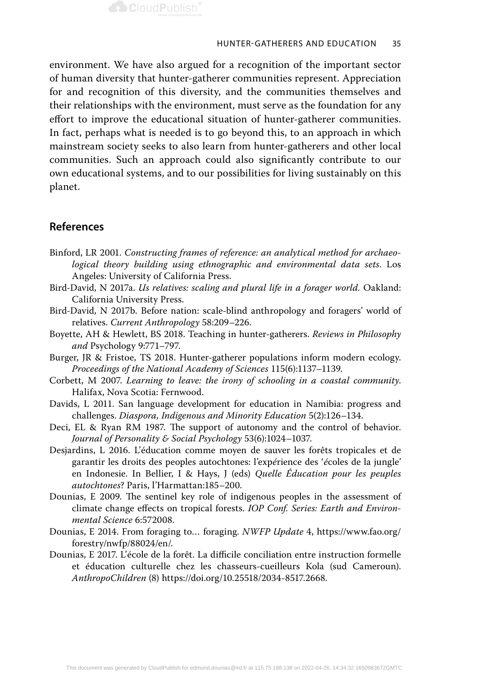

environment. We have also argued for a recognition of the important sector of human diversity that hunter-gatherer communities represent. Appreciation for and recognition of this diversity, and the communities themselves and their relationships with the environment, must serve as the foundation for any effort to improve the educational situation of hunter-gatherer communities. In fact, perhaps what is needed is to go beyond this, to an approach in which mainstream society seeks to also learn from hunter-gatherers and other local communities. Such an approach could also significantly contribute to our own educational systems, and to our possibilities for living sustainably on this planet.

## **References**

- Binford, LR 2001. *Constructing frames of reference: an analytical method for archaeological theory building using ethnographic and environmental data sets*. Los Angeles: University of California Press.
- Bird-David, N 2017a. *Us relatives: scaling and plural life in a forager world.* Oakland: California University Press.
- Bird-David, N 2017b. Before nation: scale-blind anthropology and foragers' world of relatives. *Current Anthropology* 58:209–226.
- Boyette, AH & Hewlett, BS 2018. Teaching in hunter-gatherers. *Reviews in Philosophy and* Psychology 9:771–797.
- Burger, JR & Fristoe, TS 2018. Hunter-gatherer populations inform modern ecology. *Proceedings of the National Academy of Sciences* 115(6):1137–1139.
- Corbett, M 2007. *Learning to leave: the irony of schooling in a coastal community*. Halifax, Nova Scotia: Fernwood.
- Davids, L 2011. San language development for education in Namibia: progress and challenges. *Diaspora, Indigenous and Minority Education* 5(2):126–134.
- Deci, EL & Ryan RM 1987. The support of autonomy and the control of behavior. *Journal of Personality & Social Psychology* 53(6):1024–1037.
- Desjardins, L 2016. L'éducation comme moyen de sauver les forêts tropicales et de garantir les droits des peoples autochtones: l'exp*é*rience des '*é*coles de la jungle' en Indonesie. In Bellier, I & Hays, J (eds) *Quelle Éducation pour les peuples autochtones*? Paris, l'Harmattan:185–200.
- Dounias, E 2009. The sentinel key role of indigenous peoples in the assessment of climate change effects on tropical forests. *IOP Conf. Series: Earth and Environmental Science* 6:572008.
- Dounias, E 2014. From foraging to… foraging. *NWFP Update* 4, https://www.fao.org/ forestry/nwfp/88024/en/.
- Dounias, E 2017. L'école de la forêt. La difficile conciliation entre instruction formelle et éducation culturelle chez les chasseurs-cueilleurs Kola (sud Cameroun). *AnthropoChildren* (8) https://doi.org/10.25518/2034-8517.2668.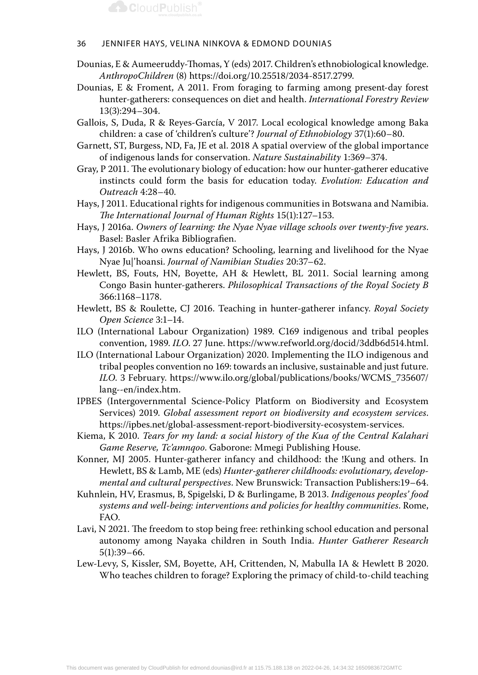#### 36 Jennifer Hays, Velina Ninkova & Edmond Dounias

- Dounias, E & Aumeeruddy-Thomas, Y (eds) 2017. Children's ethnobiological knowledge. *AnthropoChildren* (8) https://doi.org/10.25518/2034-8517.2799.
- Dounias, E & Froment, A 2011. From foraging to farming among present-day forest hunter-gatherers: consequences on diet and health. *International Forestry Review* 13(3):294–304.
- Gallois, S, Duda, R & Reyes-García, V 2017. Local ecological knowledge among Baka children: a case of 'children's culture'? *Journal of Ethnobiology* 37(1):60–80.
- Garnett, ST, Burgess, ND, Fa, JE et al. 2018 A spatial overview of the global importance of indigenous lands for conservation. *Nature Sustainability* 1:369–374.
- Gray, P 2011. The evolutionary biology of education: how our hunter-gatherer educative instincts could form the basis for education today. *Evolution: Education and Outreach* 4:28–40.
- Hays, J 2011. Educational rights for indigenous communities in Botswana and Namibia. *The International Journal of Human Rights* 15(1):127–153.
- Hays, J 2016a. *Owners of learning: the Nyae Nyae village schools over twenty-five years*. Basel: Basler Afrika Bibliografien.
- Hays, J 2016b. Who owns education? Schooling, learning and livelihood for the Nyae Nyae Ju|'hoansi. *Journal of Namibian Studies* 20:37–62.
- Hewlett, BS, Fouts, HN, Boyette, AH & Hewlett, BL 2011. Social learning among Congo Basin hunter-gatherers. *Philosophical Transactions of the Royal Society B*  366:1168–1178.
- Hewlett, BS & Roulette, CJ 2016. Teaching in hunter-gatherer infancy. *Royal Society Open Science* 3:1–14.
- ILO (International Labour Organization) 1989. C169 indigenous and tribal peoples convention, 1989. *ILO*. 27 June. https://www.refworld.org/docid/3ddb6d514.html.
- ILO (International Labour Organization) 2020. Implementing the ILO indigenous and tribal peoples convention no 169: towards an inclusive, sustainable and just future. *ILO*. 3 February. https://www.ilo.org/global/publications/books/WCMS\_735607/ lang--en/index.htm.
- IPBES (Intergovernmental Science-Policy Platform on Biodiversity and Ecosystem Services) 2019. *Global assessment report on biodiversity and ecosystem services*. https://ipbes.net/global-assessment-report-biodiversity-ecosystem-services.
- Kiema, K 2010. *Tears for my land: a social history of the Kua of the Central Kalahari Game Reserve, Tc'amnqoo*. Gaborone: Mmegi Publishing House.
- Konner, MJ 2005. Hunter-gatherer infancy and childhood: the !Kung and others. In Hewlett, BS & Lamb, ME (eds) *Hunter-gatherer childhoods: evolutionary, developmental and cultural perspectives*. New Brunswick: Transaction Publishers:19–64.
- Kuhnlein, HV, Erasmus, B, Spigelski, D & Burlingame, B 2013. *Indigenous peoples' food systems and well-being: interventions and policies for healthy communities*. Rome, FAO.
- Lavi, N 2021. The freedom to stop being free: rethinking school education and personal autonomy among Nayaka children in South India. *Hunter Gatherer Research* 5(1):39–66.
- Lew-Levy, S, Kissler, SM, Boyette, AH, Crittenden, N, Mabulla IA & Hewlett B 2020. Who teaches children to forage? Exploring the primacy of child-to-child teaching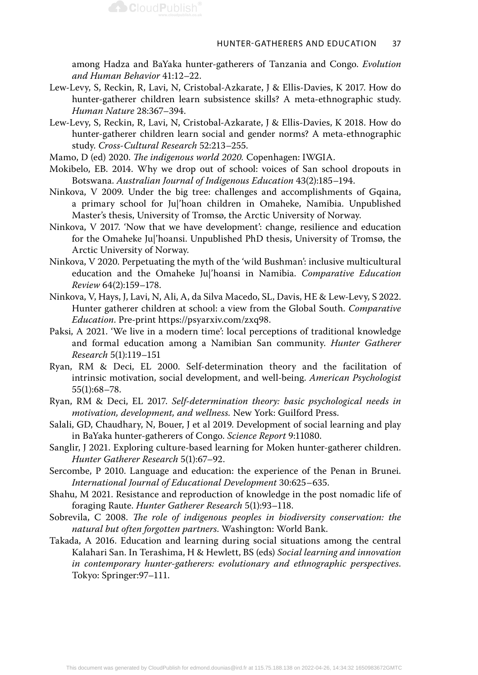among Hadza and BaYaka hunter-gatherers of Tanzania and Congo. *Evolution and Human Behavior* 41:12–22.

- Lew-Levy, S, Reckin, R, Lavi, N, Cristobal-Azkarate, J & Ellis-Davies, K 2017. How do hunter-gatherer children learn subsistence skills? A meta-ethnographic study. *Human Nature* 28:367–394.
- Lew-Levy, S, Reckin, R, Lavi, N, Cristobal-Azkarate, J & Ellis-Davies, K 2018. How do hunter-gatherer children learn social and gender norms? A meta-ethnographic study. *Cross-Cultural Research* 52:213–255.
- Mamo, D (ed) 2020. *The indigenous world 2020.* Copenhagen: IWGIA.

**CloudPublish** 

- Mokibelo, EB. 2014. Why we drop out of school: voices of San school dropouts in Botswana. *Australian Journal of Indigenous Education* 43(2):185–194.
- Ninkova, V 2009. Under the big tree: challenges and accomplishments of Gqaina, a primary school for Ju|'hoan children in Omaheke, Namibia. Unpublished Master's thesis, University of Tromsø, the Arctic University of Norway.
- Ninkova, V 2017. 'Now that we have development': change, resilience and education for the Omaheke Ju|'hoansi. Unpublished PhD thesis, University of Tromsø, the Arctic University of Norway.
- Ninkova, V 2020. Perpetuating the myth of the 'wild Bushman': inclusive multicultural education and the Omaheke Ju|'hoansi in Namibia. *Comparative Education Review* 64(2):159–178.
- Ninkova, V, Hays, J, Lavi, N, Ali, A, da Silva Macedo, SL, Davis, HE & Lew-Levy, S 2022. Hunter gatherer children at school: a view from the Global South. *Comparative Education*. Pre-print https://psyarxiv.com/zxq98.
- Paksi, A 2021. 'We live in a modern time': local perceptions of traditional knowledge and formal education among a Namibian San community. *Hunter Gatherer Research* 5(1):119–151
- Ryan, RM & Deci, EL 2000. Self-determination theory and the facilitation of intrinsic motivation, social development, and well-being. *American Psychologist*  55(1):68–78.
- Ryan, RM & Deci, EL 2017. *Self-determination theory: basic psychological needs in motivation, development, and wellness.* New York: Guilford Press.
- Salali, GD, Chaudhary, N, Bouer, J et al 2019. Development of social learning and play in BaYaka hunter-gatherers of Congo. *Science Report* 9:11080.
- Sanglir, J 2021. Exploring culture-based learning for Moken hunter-gatherer children. *Hunter Gatherer Research* 5(1):67–92.
- Sercombe, P 2010. Language and education: the experience of the Penan in Brunei. *International Journal of Educational Development* 30:625–635.
- Shahu, M 2021. Resistance and reproduction of knowledge in the post nomadic life of foraging Raute. *Hunter Gatherer Research* 5(1):93–118.
- Sobrevila, C 2008. *The role of indigenous peoples in biodiversity conservation: the natural but often forgotten partners*. Washington: World Bank.
- Takada, A 2016. Education and learning during social situations among the central Kalahari San. In Terashima, H & Hewlett, BS (eds) *Social learning and innovation in contemporary hunter-gatherers: evolutionary and ethnographic perspectives*. Tokyo: Springer:97–111.